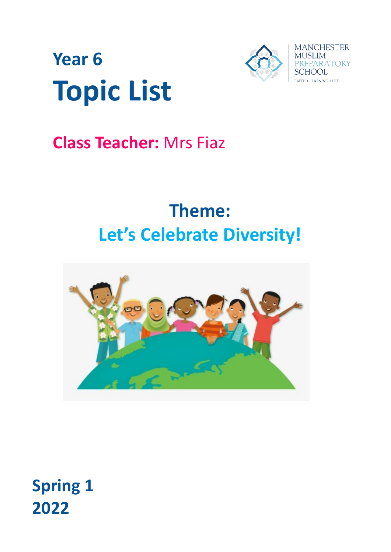

# **Year 6 Topic List**

## **Class Teacher:** Mrs Fiaz

## **Theme: Let's Celebrate Diversity!**



**Spring 1 2022**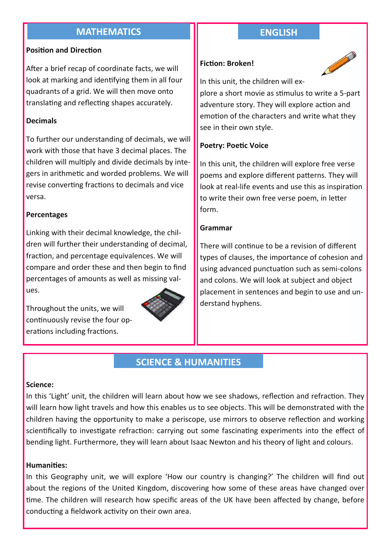## **MATHEMATICS ENGLISH**

#### **Position and Direction**

After a brief recap of coordinate facts, we will look at marking and identifying them in all four quadrants of a grid. We will then move onto translating and reflecting shapes accurately.

#### **Decimals**

To further our understanding of decimals, we will work with those that have 3 decimal places. The children will multiply and divide decimals by integers in arithmetic and worded problems. We will revise converting fractions to decimals and vice versa.

#### **Percentages**

Linking with their decimal knowledge, the children will further their understanding of decimal, fraction, and percentage equivalences. We will compare and order these and then begin to find percentages of amounts as well as missing values.

Throughout the units, we will continuously revise the four operations including fractions.



#### **Fiction: Broken!**



In this unit, the children will ex-

plore a short movie as stimulus to write a 5-part adventure story. They will explore action and emotion of the characters and write what they see in their own style.

#### **Poetry: Poetic Voice**

In this unit, the children will explore free verse poems and explore different patterns. They will look at real-life events and use this as inspiration to write their own free verse poem, in letter form.

#### **Grammar**

There will continue to be a revision of different types of clauses, the importance of cohesion and using advanced punctuation such as semi-colons and colons. We will look at subject and object placement in sentences and begin to use and understand hyphens.

## **SCIENCE & HUMANITIES**

#### **Science:**

In this 'Light' unit, the children will learn about how we see shadows, reflection and refraction. They will learn how light travels and how this enables us to see objects. This will be demonstrated with the children having the opportunity to make a periscope, use mirrors to observe reflection and working scientifically to investigate refraction: carrying out some fascinating experiments into the effect of bending light. Furthermore, they will learn about Isaac Newton and his theory of light and colours.

#### **Humanities:**

In this Geography unit, we will explore 'How our country is changing?' The children will find out about the regions of the United Kingdom, discovering how some of these areas have changed over time. The children will research how specific areas of the UK have been affected by change, before conducting a fieldwork activity on their own area.